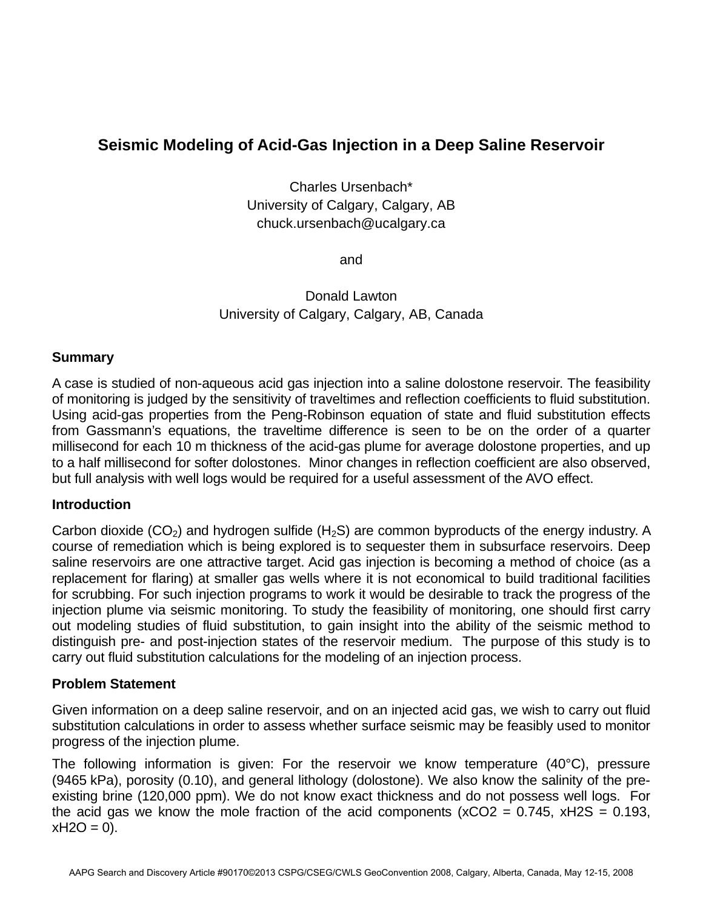# **Seismic Modeling of Acid-Gas Injection in a Deep Saline Reservoir**

Charles Ursenbach\* University of Calgary, Calgary, AB chuck.ursenbach@ucalgary.ca

and

Donald Lawton University of Calgary, Calgary, AB, Canada

# **Summary**

A case is studied of non-aqueous acid gas injection into a saline dolostone reservoir. The feasibility of monitoring is judged by the sensitivity of traveltimes and reflection coefficients to fluid substitution. Using acid-gas properties from the Peng-Robinson equation of state and fluid substitution effects from Gassmann's equations, the traveltime difference is seen to be on the order of a quarter millisecond for each 10 m thickness of the acid-gas plume for average dolostone properties, and up to a half millisecond for softer dolostones. Minor changes in reflection coefficient are also observed, but full analysis with well logs would be required for a useful assessment of the AVO effect.

# **Introduction**

Carbon dioxide (CO<sub>2</sub>) and hydrogen sulfide (H<sub>2</sub>S) are common byproducts of the energy industry. A course of remediation which is being explored is to sequester them in subsurface reservoirs. Deep saline reservoirs are one attractive target. Acid gas injection is becoming a method of choice (as a replacement for flaring) at smaller gas wells where it is not economical to build traditional facilities for scrubbing. For such injection programs to work it would be desirable to track the progress of the injection plume via seismic monitoring. To study the feasibility of monitoring, one should first carry out modeling studies of fluid substitution, to gain insight into the ability of the seismic method to distinguish pre- and post-injection states of the reservoir medium. The purpose of this study is to carry out fluid substitution calculations for the modeling of an injection process.

# **Problem Statement**

Given information on a deep saline reservoir, and on an injected acid gas, we wish to carry out fluid substitution calculations in order to assess whether surface seismic may be feasibly used to monitor progress of the injection plume.

The following information is given: For the reservoir we know temperature (40°C), pressure (9465 kPa), porosity (0.10), and general lithology (dolostone). We also know the salinity of the preexisting brine (120,000 ppm). We do not know exact thickness and do not possess well logs. For the acid gas we know the mole fraction of the acid components ( $xCO2 = 0.745$ ,  $xH2S = 0.193$ ,  $xH2O = 0$ ).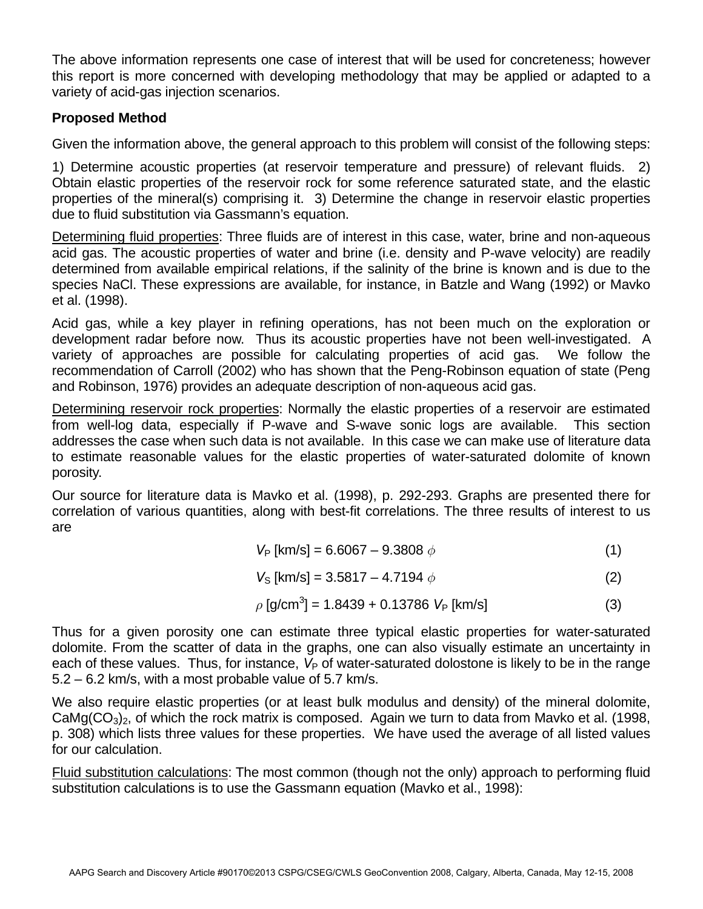The above information represents one case of interest that will be used for concreteness; however this report is more concerned with developing methodology that may be applied or adapted to a variety of acid-gas injection scenarios.

# **Proposed Method**

Given the information above, the general approach to this problem will consist of the following steps:

1) Determine acoustic properties (at reservoir temperature and pressure) of relevant fluids. 2) Obtain elastic properties of the reservoir rock for some reference saturated state, and the elastic properties of the mineral(s) comprising it. 3) Determine the change in reservoir elastic properties due to fluid substitution via Gassmann's equation.

Determining fluid properties: Three fluids are of interest in this case, water, brine and non-aqueous acid gas. The acoustic properties of water and brine (i.e. density and P-wave velocity) are readily determined from available empirical relations, if the salinity of the brine is known and is due to the species NaCl. These expressions are available, for instance, in Batzle and Wang (1992) or Mavko et al. (1998).

Acid gas, while a key player in refining operations, has not been much on the exploration or development radar before now. Thus its acoustic properties have not been well-investigated. A variety of approaches are possible for calculating properties of acid gas. We follow the recommendation of Carroll (2002) who has shown that the Peng-Robinson equation of state (Peng and Robinson, 1976) provides an adequate description of non-aqueous acid gas.

Determining reservoir rock properties: Normally the elastic properties of a reservoir are estimated from well-log data, especially if P-wave and S-wave sonic logs are available. This section addresses the case when such data is not available. In this case we can make use of literature data to estimate reasonable values for the elastic properties of water-saturated dolomite of known porosity.

Our source for literature data is Mavko et al. (1998), p. 292-293. Graphs are presented there for correlation of various quantities, along with best-fit correlations. The three results of interest to us are

$$
V_{\rm P} \text{ [km/s]} = 6.6067 - 9.3808 \phi \tag{1}
$$

$$
V_{\rm S} \, [\rm km/s] = 3.5817 - 4.7194 \, \phi \tag{2}
$$

$$
\rho \text{ [g/cm}^3 \text{]} = 1.8439 + 0.13786 \ V_P \text{ [km/s]}
$$
 (3)

Thus for a given porosity one can estimate three typical elastic properties for water-saturated dolomite. From the scatter of data in the graphs, one can also visually estimate an uncertainty in each of these values. Thus, for instance,  $V_P$  of water-saturated dolostone is likely to be in the range 5.2 – 6.2 km/s, with a most probable value of 5.7 km/s.

We also require elastic properties (or at least bulk modulus and density) of the mineral dolomite,  $CaMg(CO<sub>3</sub>)<sub>2</sub>$ , of which the rock matrix is composed. Again we turn to data from Mavko et al. (1998, p. 308) which lists three values for these properties. We have used the average of all listed values for our calculation.

Fluid substitution calculations: The most common (though not the only) approach to performing fluid substitution calculations is to use the Gassmann equation (Mavko et al., 1998):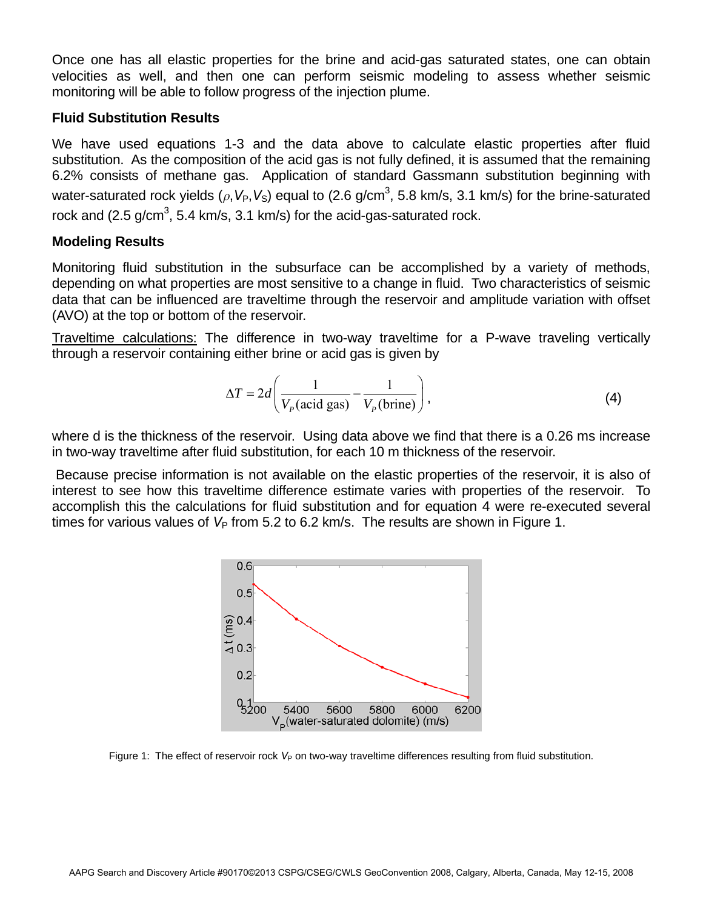Once one has all elastic properties for the brine and acid-gas saturated states, one can obtain velocities as well, and then one can perform seismic modeling to assess whether seismic monitoring will be able to follow progress of the injection plume.

# **Fluid Substitution Results**

We have used equations 1-3 and the data above to calculate elastic properties after fluid substitution. As the composition of the acid gas is not fully defined, it is assumed that the remaining 6.2% consists of methane gas. Application of standard Gassmann substitution beginning with water-saturated rock yields ( $\rho$ , $V_P$ , $V_S$ ) equal to (2.6 g/cm<sup>3</sup>, 5.8 km/s, 3.1 km/s) for the brine-saturated rock and (2.5 g/cm<sup>3</sup>, 5.4 km/s, 3.1 km/s) for the acid-gas-saturated rock.

# **Modeling Results**

Monitoring fluid substitution in the subsurface can be accomplished by a variety of methods, depending on what properties are most sensitive to a change in fluid. Two characteristics of seismic data that can be influenced are traveltime through the reservoir and amplitude variation with offset (AVO) at the top or bottom of the reservoir.

Traveltime calculations: The difference in two-way traveltime for a P-wave traveling vertically through a reservoir containing either brine or acid gas is given by

$$
\Delta T = 2d \left( \frac{1}{V_p(\text{acid gas})} - \frac{1}{V_p(\text{brine})} \right),\tag{4}
$$

where d is the thickness of the reservoir. Using data above we find that there is a 0.26 ms increase in two-way traveltime after fluid substitution, for each 10 m thickness of the reservoir.

 Because precise information is not available on the elastic properties of the reservoir, it is also of interest to see how this traveltime difference estimate varies with properties of the reservoir. To accomplish this the calculations for fluid substitution and for equation 4 were re-executed several times for various values of  $V_P$  from 5.2 to 6.2 km/s. The results are shown in Figure 1.



Figure 1: The effect of reservoir rock V<sub>P</sub> on two-way traveltime differences resulting from fluid substitution.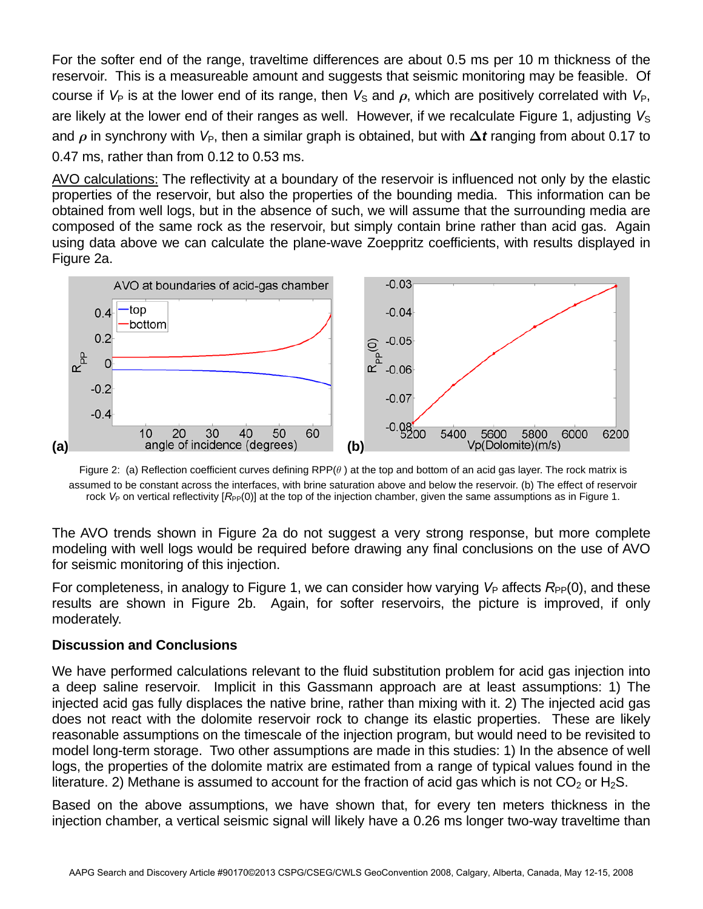For the softer end of the range, traveltime differences are about 0.5 ms per 10 m thickness of the reservoir. This is a measureable amount and suggests that seismic monitoring may be feasible. Of course if  $V_P$  is at the lower end of its range, then  $V_S$  and  $\rho$ , which are positively correlated with  $V_P$ , are likely at the lower end of their ranges as well. However, if we recalculate Figure 1, adjusting V<sub>S</sub> and *ρ* in synchrony with *V*<sub>P</sub>, then a similar graph is obtained, but with  $\Delta t$  ranging from about 0.17 to 0.47 ms, rather than from 0.12 to 0.53 ms.

AVO calculations: The reflectivity at a boundary of the reservoir is influenced not only by the elastic properties of the reservoir, but also the properties of the bounding media. This information can be obtained from well logs, but in the absence of such, we will assume that the surrounding media are composed of the same rock as the reservoir, but simply contain brine rather than acid gas. Again using data above we can calculate the plane-wave Zoeppritz coefficients, with results displayed in Figure 2a.



Figure 2: (a) Reflection coefficient curves defining RPP(*θ* ) at the top and bottom of an acid gas layer. The rock matrix is assumed to be constant across the interfaces, with brine saturation above and below the reservoir. (b) The effect of reservoir rock  $V_P$  on vertical reflectivity  $[R_{\text{PP}}(0)]$  at the top of the injection chamber, given the same assumptions as in Figure 1.

The AVO trends shown in Figure 2a do not suggest a very strong response, but more complete modeling with well logs would be required before drawing any final conclusions on the use of AVO for seismic monitoring of this injection.

For completeness, in analogy to Figure 1, we can consider how varying  $V_P$  affects  $R_{PP}(0)$ , and these results are shown in Figure 2b. Again, for softer reservoirs, the picture is improved, if only moderately.

# **Discussion and Conclusions**

We have performed calculations relevant to the fluid substitution problem for acid gas injection into a deep saline reservoir. Implicit in this Gassmann approach are at least assumptions: 1) The injected acid gas fully displaces the native brine, rather than mixing with it. 2) The injected acid gas does not react with the dolomite reservoir rock to change its elastic properties. These are likely reasonable assumptions on the timescale of the injection program, but would need to be revisited to model long-term storage. Two other assumptions are made in this studies: 1) In the absence of well logs, the properties of the dolomite matrix are estimated from a range of typical values found in the literature. 2) Methane is assumed to account for the fraction of acid gas which is not  $CO_2$  or H<sub>2</sub>S.

Based on the above assumptions, we have shown that, for every ten meters thickness in the injection chamber, a vertical seismic signal will likely have a 0.26 ms longer two-way traveltime than